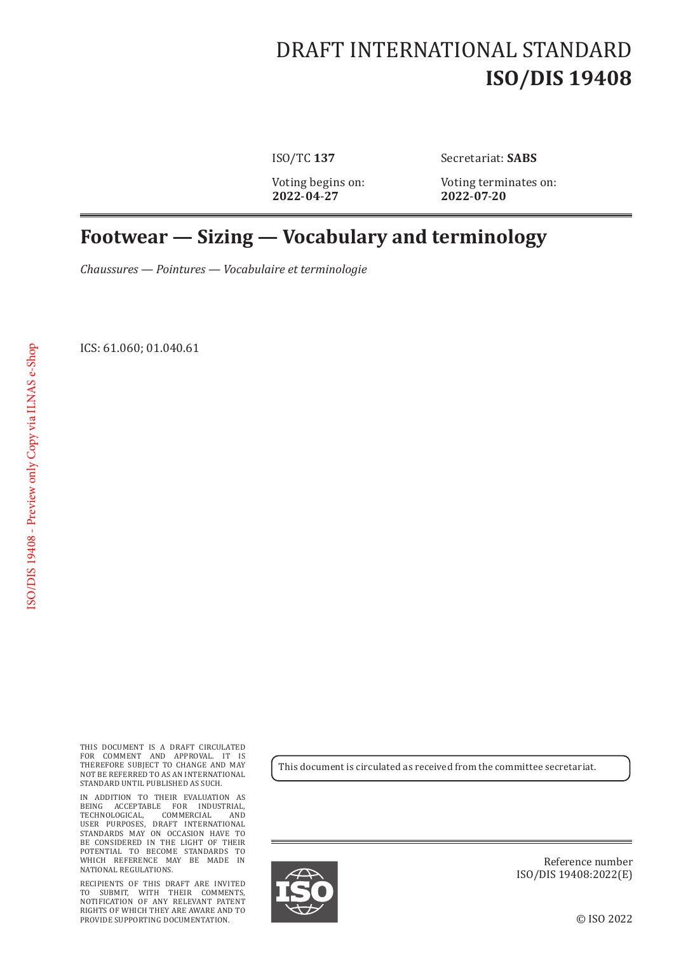## DRAFT INTERNATIONAL STANDARD **ISO/DIS 19408**

**2022**-**04**-**27 2022**-**07**-**20**

ISO/TC **137** Secretariat: **SABS**

Voting begins on: Voting terminates on:<br>2022-04-27 2022-07-20

## **Footwear — Sizing — Vocabulary and terminology**

*Chaussures — Pointures — Vocabulaire et terminologie*

ICS: 61.060; 01.040.61

THIS DOCUMENT IS A DRAFT CIRCULATED FOR COMMENT AND APPROVAL. IT IS THEREFORE SUBJECT TO CHANGE AND MAY NOT BE REFERRED TO AS AN INTERNATIONAL STANDARD UNTIL PUBLISHED AS SUCH.

IN ADDITION TO THEIR EVALUATION AS BEING ACCEPTABLE FOR INDUSTRIAL, TECHNOLOGICAL, COMMERCIAL AND USER PURPOSES, DRAFT INTERNATIONAL STANDARDS MAY ON OCCASION HAVE TO BE CONSIDERED IN THE LIGHT OF THEIR POTENTIAL TO BECOME STANDARDS TO WHICH REFERENCE MAY BE MADE IN NATIONAL REGULATIONS.

RECIPIENTS OF THIS DRAFT ARE INVITED TO SUBMIT, WITH THEIR COMMENTS, NOTIFICATION OF ANY RELEVANT PATENT RIGHTS OF WHICH THEY ARE AWARE AND TO PROVIDE SUPPORTING DOCUMENTATION.

This document is circulated as received from the committee secretariat.



Reference number ISO/DIS 19408:2022(E)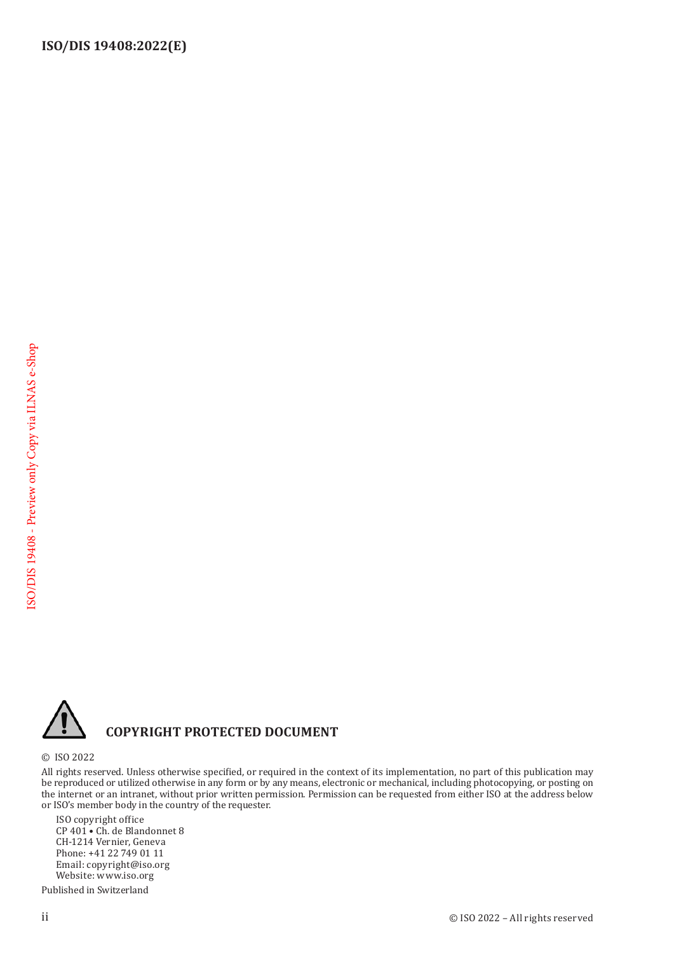

## **COPYRIGHT PROTECTED DOCUMENT**

© ISO 2022

All rights reserved. Unless otherwise specified, or required in the context of its implementation, no part of this publication may be reproduced or utilized otherwise in any form or by any means, electronic or mechanical, including photocopying, or posting on the internet or an intranet, without prior written permission. Permission can be requested from either ISO at the address below or ISO's member body in the country of the requester.

ISO copyright office CP 401 • Ch. de Blandonnet 8 CH-1214 Vernier, Geneva Phone: +41 22 749 01 11 Email: copyright@iso.org Website: www.iso.org

Published in Switzerland